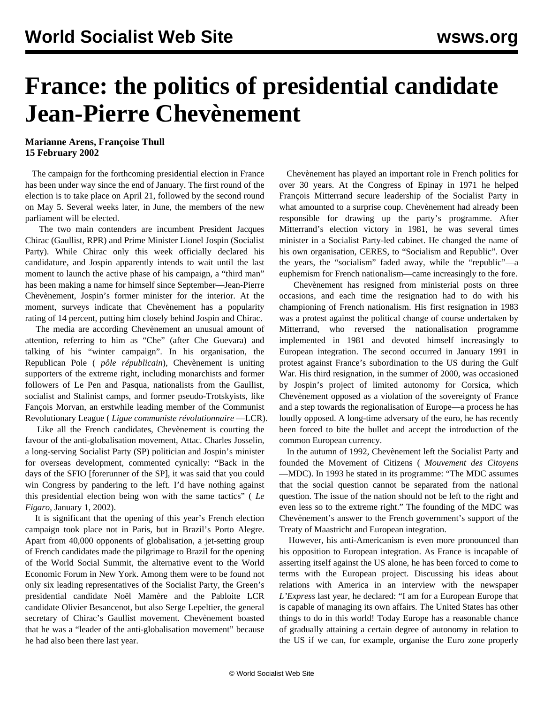## **France: the politics of presidential candidate Jean-Pierre Chevènement**

**Marianne Arens, Françoise Thull 15 February 2002**

 The campaign for the forthcoming presidential election in France has been under way since the end of January. The first round of the election is to take place on April 21, followed by the second round on May 5. Several weeks later, in June, the members of the new parliament will be elected.

 The two main contenders are incumbent President Jacques Chirac (Gaullist, RPR) and Prime Minister Lionel Jospin (Socialist Party). While Chirac only this week officially declared his candidature, and Jospin apparently intends to wait until the last moment to launch the active phase of his campaign, a "third man" has been making a name for himself since September—Jean-Pierre Chevènement, Jospin's former minister for the interior. At the moment, surveys indicate that Chevènement has a popularity rating of 14 percent, putting him closely behind Jospin and Chirac.

 The media are according Chevènement an unusual amount of attention, referring to him as "Che" (after Che Guevara) and talking of his "winter campaign". In his organisation, the Republican Pole ( *pôle républicain*), Chevènement is uniting supporters of the extreme right, including monarchists and former followers of Le Pen and Pasqua, nationalists from the Gaullist, socialist and Stalinist camps, and former pseudo-Trotskyists, like Fançois Morvan, an erstwhile leading member of the Communist Revolutionary League ( *Ligue communiste révolutionnaire* —LCR).

 Like all the French candidates, Chevènement is courting the favour of the anti-globalisation movement, Attac. Charles Josselin, a long-serving Socialist Party (SP) politician and Jospin's minister for overseas development, commented cynically: "Back in the days of the SFIO [forerunner of the SP], it was said that you could win Congress by pandering to the left. I'd have nothing against this presidential election being won with the same tactics" ( *Le Figaro*, January 1, 2002).

 It is significant that the opening of this year's French election campaign took place not in Paris, but in Brazil's Porto Alegre. Apart from 40,000 opponents of globalisation, a jet-setting group of French candidates made the pilgrimage to Brazil for the opening of the World Social Summit, the alternative event to the World Economic Forum in New York. Among them were to be found not only six leading representatives of the Socialist Party, the Green's presidential candidate Noël Mamère and the Pabloite LCR candidate Olivier Besancenot, but also Serge Lepeltier, the general secretary of Chirac's Gaullist movement. Chevènement boasted that he was a "leader of the anti-globalisation movement" because he had also been there last year.

 Chevènement has played an important role in French politics for over 30 years. At the Congress of Epinay in 1971 he helped François Mitterrand secure leadership of the Socialist Party in what amounted to a surprise coup. Chevènement had already been responsible for drawing up the party's programme. After Mitterrand's election victory in 1981, he was several times minister in a Socialist Party-led cabinet. He changed the name of his own organisation, CERES, to "Socialism and Republic". Over the years, the "socialism" faded away, while the "republic"—a euphemism for French nationalism—came increasingly to the fore.

 Chevènement has resigned from ministerial posts on three occasions, and each time the resignation had to do with his championing of French nationalism. His first resignation in 1983 was a protest against the political change of course undertaken by Mitterrand, who reversed the nationalisation programme implemented in 1981 and devoted himself increasingly to European integration. The second occurred in January 1991 in protest against France's subordination to the US during the Gulf War. His third resignation, in the summer of 2000, was occasioned by Jospin's project of limited autonomy for Corsica, which Chevènement opposed as a violation of the sovereignty of France and a step towards the regionalisation of Europe—a process he has loudly opposed. A long-time adversary of the euro, he has recently been forced to bite the bullet and accept the introduction of the common European currency.

 In the autumn of 1992, Chevènement left the Socialist Party and founded the Movement of Citizens ( *Mouvement des Citoyens* —MDC). In 1993 he stated in its programme: "The MDC assumes that the social question cannot be separated from the national question. The issue of the nation should not be left to the right and even less so to the extreme right." The founding of the MDC was Chevènement's answer to the French government's support of the Treaty of Maastricht and European integration.

 However, his anti-Americanism is even more pronounced than his opposition to European integration. As France is incapable of asserting itself against the US alone, he has been forced to come to terms with the European project. Discussing his ideas about relations with America in an interview with the newspaper *L'Express* last year, he declared: "I am for a European Europe that is capable of managing its own affairs. The United States has other things to do in this world! Today Europe has a reasonable chance of gradually attaining a certain degree of autonomy in relation to the US if we can, for example, organise the Euro zone properly